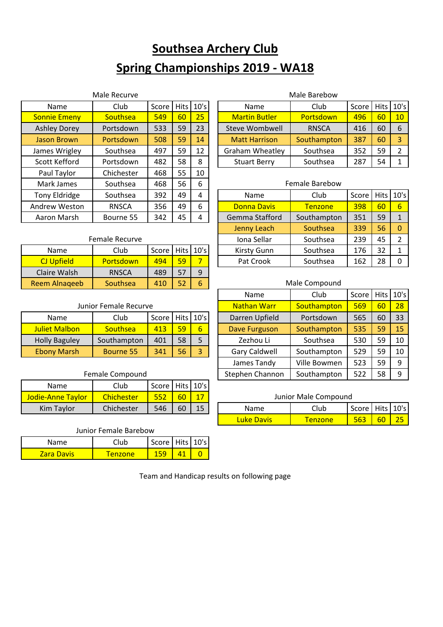# **Southsea Archery Club Spring Championships 2019 - WA18**

|                     | Male Recurve |       |    | Male Barebow |  |                        |                       |       |             |     |
|---------------------|--------------|-------|----|--------------|--|------------------------|-----------------------|-------|-------------|-----|
| <b>Name</b>         | Club         | Score |    | Hits $10's$  |  | Name                   | Club                  | Score | <b>Hits</b> | 110 |
| <b>Sonnie Emeny</b> | Southsea     | 549   | 60 | 25           |  | <b>Martin Butler</b>   | Portsdown             | 496   | 60          | 1(  |
| <b>Ashley Dorey</b> | Portsdown    | 533   | 59 | 23           |  | <b>Steve Wombwell</b>  | <b>RNSCA</b>          | 416   | 60          | 6   |
| <b>Jason Brown</b>  | Portsdown    | 508   | 59 | 14           |  | <b>Matt Harrison</b>   | Southampton           | 387   | 60          | 3   |
| James Wrigley       | Southsea     | 497   | 59 | 12           |  | <b>Graham Wheatley</b> | Southsea              | 352   | 59          | 2   |
| Scott Kefford       | Portsdown    | 482   | 58 | 8            |  | <b>Stuart Berry</b>    | Southsea              | 287   | 54          |     |
| Paul Taylor         | Chichester   | 468   | 55 | 10           |  |                        |                       |       |             |     |
| Mark James          | Southsea     | 468   | 56 | 6            |  |                        | <b>Female Barebow</b> |       |             |     |
| Tony Eldridge       | Southsea     | 392   | 49 | 4            |  | Name                   | Club                  | Score | <b>Hits</b> | 110 |
| Andrew Weston       | <b>RNSCA</b> | 356   | 49 | 6            |  | <b>Donna Davis</b>     | <b>Tenzone</b>        | 398   | 60          | 6   |
| Aaron Marsh         | Bourne 55    | 342   | 45 | 4            |  | Gemma Stafford         | Southampton           | 351   | 59          |     |
|                     |              |       |    |              |  |                        |                       |       |             |     |

#### Male Barebow

| Name                | Club            | Score |    | Hits $10's$ | <b>Name</b>            | Club         | Score |    | Hits $10's$     |
|---------------------|-----------------|-------|----|-------------|------------------------|--------------|-------|----|-----------------|
| <b>Sonnie Emeny</b> | <b>Southsea</b> | 549   | 60 | 25          | <b>Martin Butler</b>   | Portsdown    | 496   | 60 | 10 <sup>°</sup> |
| <b>Ashley Dorey</b> | Portsdown       | 533   | 59 | 23          | Steve Wombwell         | <b>RNSCA</b> | 416   | 60 |                 |
| Jason Brown         | Portsdown       | 508   | 59 | 14          | <b>Matt Harrison</b>   | Southampton  | 387   | 60 |                 |
| James Wrigley       | Southsea        | 497   | 59 | 12          | <b>Graham Wheatley</b> | Southsea     | 352   | 59 |                 |
| Scott Kefford       | Portsdown       | 482   | 58 | 8           | <b>Stuart Berry</b>    | Southsea     | 287   | 54 |                 |

#### Female Barebow

| <b>Tony Eldridge</b> | Southsea       | 392     | 49 | 4           |  | Name               | Club           | Score |    | Hits $10's$ |
|----------------------|----------------|---------|----|-------------|--|--------------------|----------------|-------|----|-------------|
| Andrew Weston        | <b>RNSCA</b>   | 356     | 49 | 6           |  | <b>Donna Davis</b> | <b>Tenzone</b> | 398   | 60 | 6           |
| Aaron Marsh          | Bourne 55      | 342     | 45 | 4           |  | Gemma Stafford     | Southampton    | 351   | 59 |             |
|                      |                |         |    |             |  | Jenny Leach        | Southsea       | 339   | 56 |             |
|                      | Female Recurve |         |    |             |  | Iona Sellar        | Southsea       | 239   | 45 |             |
| Name                 | Club           | Score l |    | Hits $10's$ |  | <b>Kirsty Gunn</b> | Southsea       | 176   | 32 |             |
| <b>CJ Upfield</b>    | Portsdown      | 494     | 59 |             |  | Pat Crook          | Southsea       | 162   | 28 |             |

#### Male Compound

|                       |                 |       |    |             |  | Name                 | Club         | Score |    | Hits $ 10's $ |
|-----------------------|-----------------|-------|----|-------------|--|----------------------|--------------|-------|----|---------------|
| Junior Female Recurve |                 |       |    |             |  | <b>Nathan Warr</b>   | Southampton  | 569   | 60 | 28            |
| <b>Name</b>           | Club            | Score |    | Hits $10's$ |  | Darren Upfield       | Portsdown    | 565   | 60 | 33            |
| Juliet Malbon         | Southsea        | 413   | 59 | 6           |  | Dave Furguson        | Southampton  | 535   | 59 | 15            |
| <b>Holly Baguley</b>  | Southampton     | 401   | 58 | 5           |  | Zezhou Li            | Southsea     | 530   | 59 | 10            |
| <b>Ebony Marsh</b>    | Bourne 55       | 341   | 56 | 3           |  | <b>Gary Caldwell</b> | Southampton  | 529   | 59 | 10            |
|                       |                 |       |    |             |  | James Tandy          | Ville Bowmen | 523   | 59 | -9            |
|                       | Female Compound |       |    |             |  | Stephen Channon      | Southampton  | 522   | 58 | q             |

#### Junior Male Compound

|               | . .<br>------ |     |    |         |                        |        |         |                 |               |
|---------------|---------------|-----|----|---------|------------------------|--------|---------|-----------------|---------------|
| Kim<br>Tavlor | Chichester    | 546 | 60 | 15<br>ᅩ | Name                   | Club   | Score I | Hits $ 10's $   |               |
|               |               |     |    |         | <b>Davis</b><br>zuke l | enzone | 563     | co<br><b>PP</b> | $\sim$ $\sim$ |

### Reem Alnaqeeb | Southsea | 410 | 52 | 6

 $\overline{C}$ J Upfield  $\overline{C}$  Portsdown  $\overline{C}$  494  $\overline{59}$  7 Claire Walsh | RNSCA | 489 | 57 | 9

#### Junior Female Recurve

| <b>Name</b>          | Club        | Score   Hits   10's |    |  |
|----------------------|-------------|---------------------|----|--|
| <b>Juliet Malbon</b> | Southsea    | 413                 | 59 |  |
| <b>Holly Baguley</b> | Southampton | 401                 | 58 |  |
| <b>Ebony Marsh</b>   | Bourne 55   | 341                 |    |  |

### Female Compound

| Name                     | Club       | Score Hits 10's |                 |  |
|--------------------------|------------|-----------------|-----------------|--|
| <b>Jodie-Anne Taylor</b> | Chichester |                 | 60              |  |
| Kim Taylor               | Chichester | 546             | 60 <sup>7</sup> |  |

#### Junior Female Barebow

| Name               | ำเนb   | Score   Hits   10's |  |
|--------------------|--------|---------------------|--|
| <u>/ara Davis/</u> | enzone |                     |  |

Team and Handicap results on following page